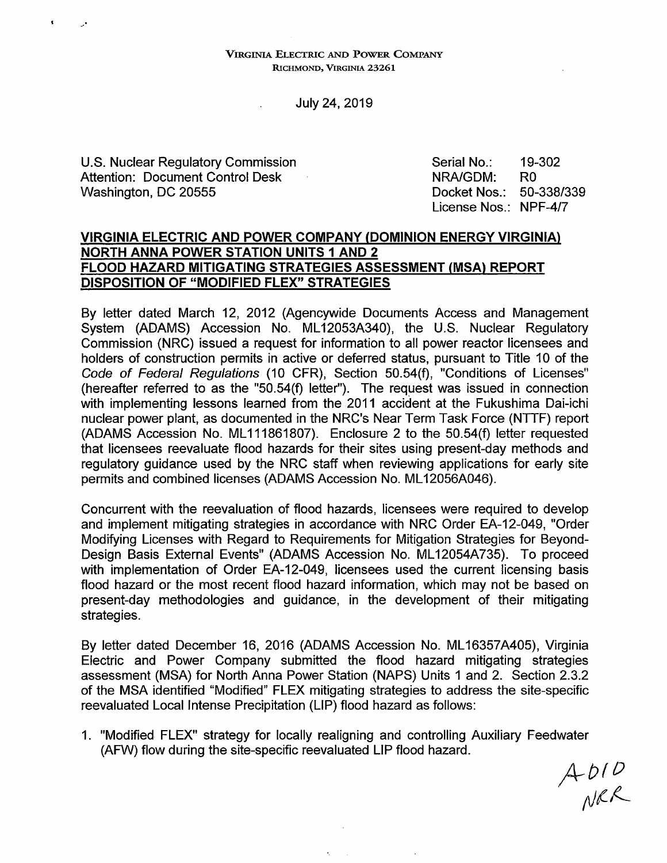VIRGINIA ELECTRIC AND POWER COMPANY RICHMOND, VIRGINIA 23261

July 24, 2019

U.S. Nuclear Regulatory Commission Attention: Document Control Desk Washington, DC 20555

Serial No.: NRA/GDM: Docket Nos.: License Nos.: NPF-4/7 19-302 RO 50-338/339

## **VIRGINIA ELECTRIC AND POWER COMPANY (DOMINION ENERGY VIRGINIA) NORTH ANNA POWER STATION UNITS 1 AND 2 FLOOD HAZARD MITIGATING STRATEGIES ASSESSMENT (MSA) REPORT DISPOSITION OF "MODIFIED FLEX" STRATEGIES**

By letter dated March 12, 2012 (Agencywide Documents Access and Management System (ADAMS) Accession No. ML 12053A340), the U.S. Nuclear Regulatory Commission (NRC) issued a request for information to all power reactor licensees and holders of construction permits in active or deferred status, pursuant to Title 10 of the Code of Federal Regulations (10 CFR), Section 50.54(f), "Conditions of Licenses" (hereafter referred to as the "50.54(f) letter"). The request was issued in connection with implementing lessons learned from the 2011 accident at the Fukushima Dai-ichi nuclear power plant, as documented in the NRC's Near Term Task Force (NTTF) report (ADAMS Accession No. ML 111861807). Enclosure 2 to the 50.54(f) letter requested that licensees reevaluate flood hazards for their sites using present-day methods and regulatory guidance used by the NRC staff when reviewing applications for early site permits and combined licenses (ADAMS Accession No. ML 12056A046).

Concurrent with the reevaluation of flood hazards, licensees were required to develop and implement mitigating strategies in accordance with NRC Order EA-12-049, "Order Modifying Licenses with Regard to Requirements for Mitigation Strategies for Beyond-Design Basis External Events" (ADAMS Accession No. ML 12054A735). To proceed with implementation of Order EA-12-049, licensees used the current licensing basis flood hazard or the most recent flood hazard information, which may not be based on present-day methodologies and guidance, in the development of their mitigating strategies.

By lefter dated December 16, 2016 (ADAMS Accession No. ML 16357A405), Virginia Electric and Power Company submitted the flood hazard mitigating strategies assessment (MSA) for North Anna Power Station (NAPS) Units 1 and 2. Section 2.3.2 of the MSA identified "Modified" FLEX mitigating strategies to address the site-specific reevaluated Local Intense Precipitation (LIP) flood hazard as follows:

1. "Modified FLEX" strategy for locally realigning and controlling Auxiliary Feedwater (AFW) flow during the site-specific reevaluated LIP flood hazard.

×.

 $A$   $D1D$ <br>NRR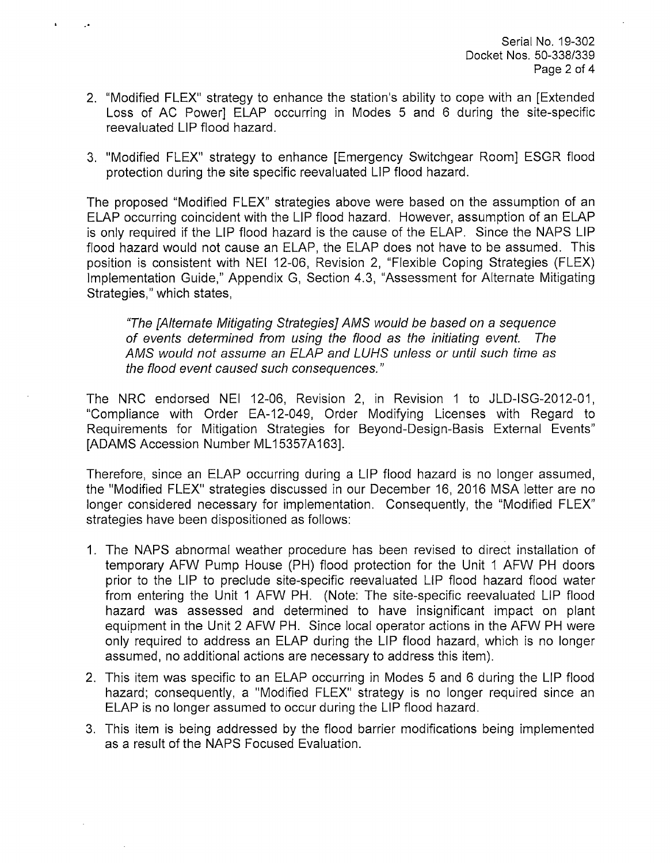- 2. "Modified FLEX" strategy to enhance the station's ability to cope with an [Extended Loss of AC Power] ELAP occurring in Modes 5 and 6 during the site-specific reevaluated LIP flood hazard.
- 3. "Modified FLEX" strategy to enhance [Emergency Switchgear Room] ESGR flood protection during the site specific reevaluated LIP flood hazard.

The proposed "Modified FLEX" strategies above were based on the assumption of an ELAP occurring coincident with the LIP flood hazard. However, assumption of an ELAP is only required if the LIP flood hazard is the cause of the ELAP. Since the NAPS LIP flood hazard would not cause an ELAP, the ELAP does not have to be assumed. This position is consistent with NEI 12-06, Revision 2, "Flexible Coping Strategies (FLEX) Implementation Guide," Appendix G, Section 4.3, "Assessment for Alternate Mitigating Strategies," which states,

"The [Alternate Mitigating Strategies] AMS would be based on a sequence of events determined from using the flood as the initiating event. The AMS would not assume an ELAP and LUHS unless or until such time as the flood event caused such consequences."

The NRC endorsed NEI 12-06, Revision 2, in Revision 1 to JLD-ISG-2012-01, "Compliance with Order EA-12-049, Order Modifying Licenses with Regard to Requirements for Mitigation Strategies for Beyond-Design-Basis External Events" [ADAMS Accession Number ML15357A163].

Therefore, since an ELAP occurring during a LIP flood hazard is no longer assumed, the "Modified FLEX" strategies discussed in our December 16, 2016 MSA letter are no longer considered necessary for implementation. Consequently, the "Modified FLEX" strategies have been dispositioned as follows:

- 1. The NAPS abnormal weather procedure has been revised to direct installation of temporary AFW Pump House (PH) flood protection for the Unit 1 AFW PH doors prior to the LIP to preclude site-specific reevaluated LIP flood hazard flood water from entering the Unit 1 AFW PH. (Note: The site-specific reevaluated LIP flood hazard was assessed and determined to have insignificant impact on plant equipment in the Unit 2 AFW PH. Since local operator actions in the AFW PH were only required to address an ELAP during the LIP flood hazard, which is no longer assumed, no additional actions are necessary to address this item).
- 2. This item was specific to an ELAP occurring in Modes 5 and 6 during the LIP flood hazard; consequently, a "Modified FLEX" strategy is no longer required since an ELAP is no longer assumed to occur during the LIP flood hazard.
- 3. This item is being addressed by the flood barrier modifications being implemented as a result of the NAPS Focused Evaluation.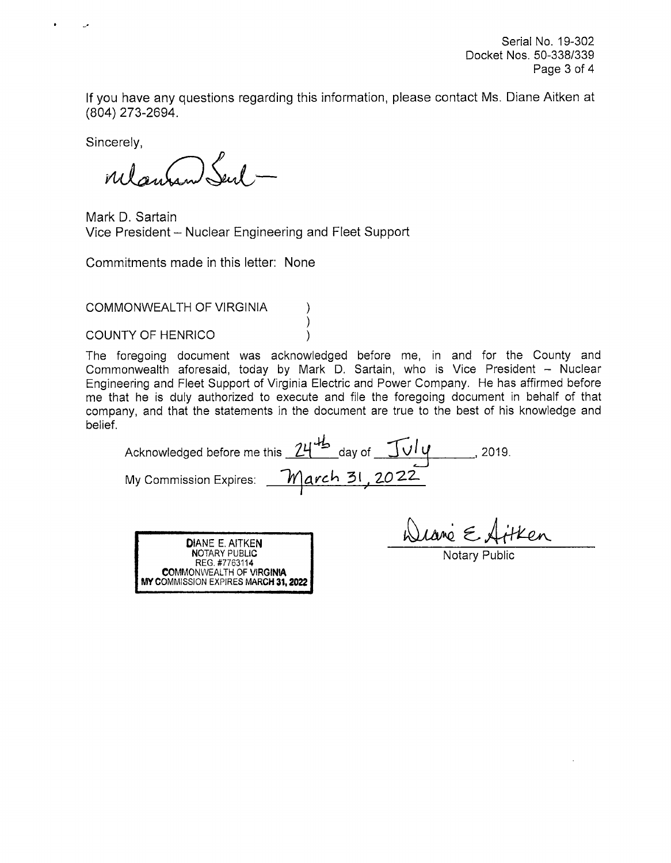Serial No. 19-302 Docket Nos. 50-338/339 Page 3 of 4

If you have any questions regarding this information, please contact Ms. Diane Aitken at (804) 273-2694.

Sincerely,

relament Sent.

Mark D. Sartain Vice President - Nuclear Engineering and Fleet Support

Commitments made in this letter: None

COMMONWEALTH OF VIRGINIA

COUNTY OF HENRICO (1999)

The foregoing document was acknowledged before me, in and for the County and Commonwealth aforesaid, today by Mark D. Sartain, who is Vice President - Nuclear Engineering and Fleet Support of Virginia Electric and Power Company. He has affirmed before me that he is duly authorized to execute and file the foregoing document in behalf of that company, and that the statements in the document are true to the best of his knowledge and belief.

Acknowledged before me this <u>24<sup>ths</sup></u> day of  $\frac{\int \int \int \int \psi}{\int}$ My Commission Expires: **March 31, 2022.** , 2019.

)



Wrane E Artken